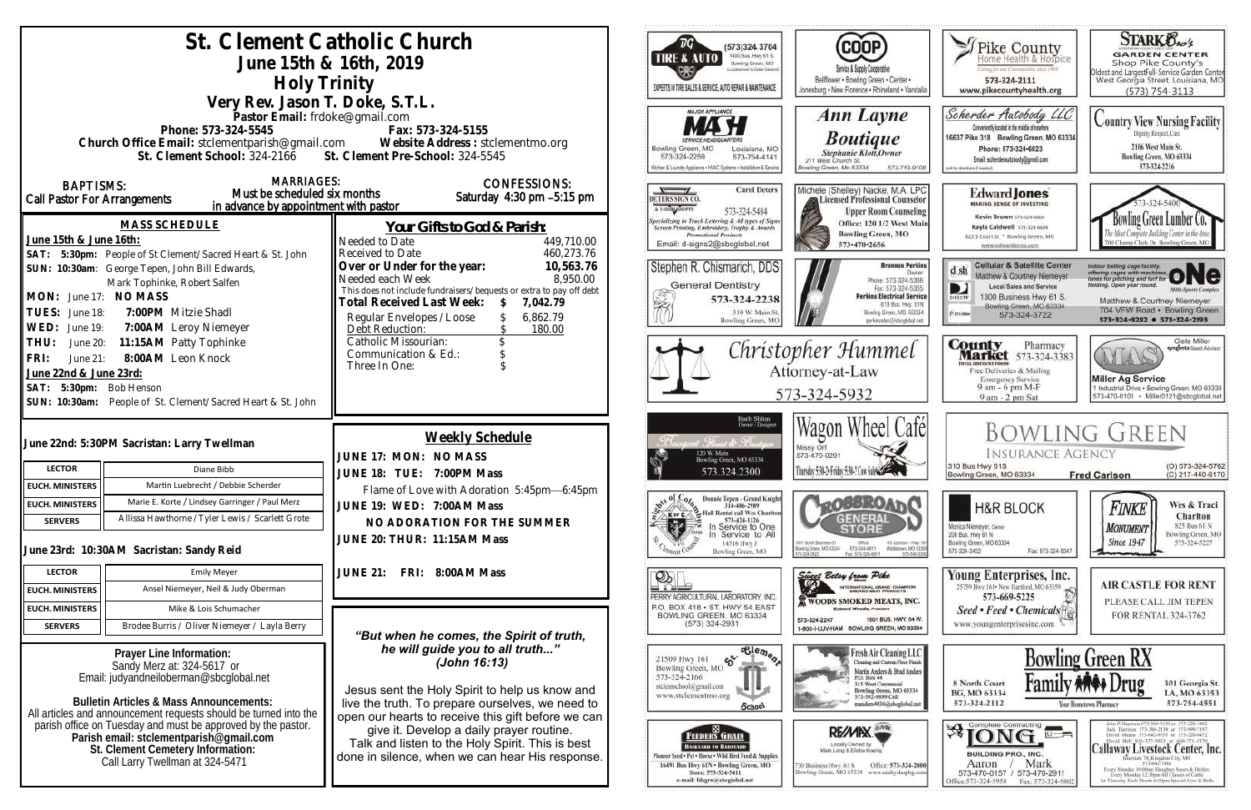| St. Clement Catholic Church<br>June 15th & 16th, 2019<br>Holy Trinity<br>Very Rev. Jason T. Doke, S.T.L.                                                                                                                                                                                                                                                                                                                                                                                                                                                                                                                                                                                 |                                                                                                                                          |                                                                                                                                                                                                                                                                                                                                                                   | ™G`<br>TIRE & AUTO                                                                                                           | (573)324 3704<br>1400 Bus. Hwy 61 S.<br>Bowling Green, MO<br>pigabed meet to Cretian Garriersh<br>EXPERTS IN TIRE SALES & SERVICE, AUTO REPAIR & MAINTENANCE                                                                                                                                                                             | (COOP)<br>Service & Supply Cooperative<br>Bellflower . Bowling Green . Center .<br>Jonesburg . New Florence . Rhineland . Vandalia                                                                                                                                                                                                                                               | Thike County<br>Certag for our Communities smot 1969<br>573-324-2111<br>www.pikecountyhealth.org                                                                                                                                              | <b>STARK Oxo's</b><br><b>GARDEN CENTER</b><br>Shop Pike County's<br>Oldest and Largestfull-Service Garden Center<br>West Georgia Street, Louisiana, MO<br>$(573) 754 - 3113$                                                                                                                                                                                                                                                                                                                                                           |
|------------------------------------------------------------------------------------------------------------------------------------------------------------------------------------------------------------------------------------------------------------------------------------------------------------------------------------------------------------------------------------------------------------------------------------------------------------------------------------------------------------------------------------------------------------------------------------------------------------------------------------------------------------------------------------------|------------------------------------------------------------------------------------------------------------------------------------------|-------------------------------------------------------------------------------------------------------------------------------------------------------------------------------------------------------------------------------------------------------------------------------------------------------------------------------------------------------------------|------------------------------------------------------------------------------------------------------------------------------|------------------------------------------------------------------------------------------------------------------------------------------------------------------------------------------------------------------------------------------------------------------------------------------------------------------------------------------|----------------------------------------------------------------------------------------------------------------------------------------------------------------------------------------------------------------------------------------------------------------------------------------------------------------------------------------------------------------------------------|-----------------------------------------------------------------------------------------------------------------------------------------------------------------------------------------------------------------------------------------------|----------------------------------------------------------------------------------------------------------------------------------------------------------------------------------------------------------------------------------------------------------------------------------------------------------------------------------------------------------------------------------------------------------------------------------------------------------------------------------------------------------------------------------------|
| Pastor Email: frdoke@gmail.com<br>Phone: 573-324-5545<br>Fax: 573-324-5155<br>Church Office Email: stclementparish@gmail.com Website Address : stclementmo.org<br>St. Clement Pre-School: 324-5545<br>St. Clement School: 324-2166                                                                                                                                                                                                                                                                                                                                                                                                                                                       |                                                                                                                                          |                                                                                                                                                                                                                                                                                                                                                                   | Bowling Green, MO<br>573-324-2259                                                                                            | <b>MAJOR APPLIANCE</b><br>Louisiana, MO<br>573-754-4141<br>Ochen & Laundry Appliance . HVAC Systems . Installation & Servic                                                                                                                                                                                                              | Ann Layne<br><b>Boutique</b><br>Stephanie Klott, Owner<br>211 West Church St.<br>Bowling Green, Mo 63334<br>573-719-9108                                                                                                                                                                                                                                                         | Scherder Autobody LLC<br>Conveniently located in the middle of nowhere<br>16637 Pike 318 Bowling Green, MO 63334<br>Phone: 573+324+6023<br>Email: scherderautobody@gmail.com<br>bild for directions if needed                                 | <b>Country View Nursing Facility</b><br>Dignity, Respect, Care<br>2106 West Main St.<br>Bowling Green, MO 63334<br>573-324-2216                                                                                                                                                                                                                                                                                                                                                                                                        |
| <b>MARRIAGES:</b><br><b>BAPTISMS:</b><br>Must be scheduled six months<br>Call Pastor For Arrangements<br>in advance by appointment with pastor<br><b>MASS SCHEDULE</b><br>June 15th & June 16th:<br>Needed to Date<br>SAT: 5:30pm: People of St Clement/Sacred Heart & St. John<br>SUN: 10:30am: George Tepen, John Bill Edwards,<br>Mark Tophinke, Robert Salfen<br>MON: June 17: NO MASS<br>TUES: June 18:<br>7:00PM Mitzie Shadl<br>WED: June 19:<br>7:00AM Leroy Niemeyer<br>11:15AM Patty Tophinke<br>THU:<br>June 20:<br>8:00AM Leon Knock<br>FRI:<br>June 21:<br>June 22nd & June 23rd:<br>SAT: 5:30pm: Bob Henson<br>SUN: 10:30am: People of St. Clement/Sacred Heart & St. John |                                                                                                                                          | <b>CONFESSIONS:</b><br>Saturday 4:30 pm -5:15 pm<br>Your Gifts to God & Parish:<br>449,710.00                                                                                                                                                                                                                                                                     | DETERS SIGN CO.<br>A LSHING SHOPPE                                                                                           | <b>Carol Deters</b><br>573-324-5484<br><b>Specializing in Truck Lettering &amp; All types of Signs</b><br>Screen Printing, Embroidery, Trophy & Awards<br><b>Promotional Products</b>                                                                                                                                                    | Michele (Shelley) Nacke, M.A. LPC<br>Licensed Professional Counselor<br><b>Upper Room Counseling</b><br>Office: 120 1/2 West Main<br><b>Bowling Green, MO</b>                                                                                                                                                                                                                    | <b>Edward Jones</b><br><b>MAKING SENSE OF INVESTING</b><br>Kevin Brown 573-324-6604<br>Kayla Caldwell 573-324-6604<br>822 S Court St * Bowling Green, MO                                                                                      | Bowling Green Lumber Co.<br>700 Champ Clark Dr. Bowling Green, M                                                                                                                                                                                                                                                                                                                                                                                                                                                                       |
|                                                                                                                                                                                                                                                                                                                                                                                                                                                                                                                                                                                                                                                                                          |                                                                                                                                          | 460,273.76<br>Received to Date<br>10,563.76<br>Over or Under for the year:<br>8,950.00<br>Needed each Week<br>This does not include fundraisers/bequests or extra to pay off debt<br>Total Received Last Week:<br>7,042.79<br>Regular Envelopes / Loose<br>6,862.79<br>Debt Reduction:<br>180.00<br>Catholic Missourian:<br>Communication & Ed.:<br>Three In One: |                                                                                                                              | Email: d-signs2@sbcglobal.net<br>Stephen R. Chismarich, DDS<br><b>General Dentistry</b><br>573-324-2238<br>310 W. Main St<br>Bowling Green, MC                                                                                                                                                                                           | 573-470-2656<br><b>Brennen Perkins</b><br>Dwner<br>Phone: 573-324-5366<br>Fax: 573-324-5355<br><b>Perkins Electrical Service</b><br>819 Bus. Hwy. 61N<br>Bowling Green, MO. 63334<br>perkinselec@shoclobal.net                                                                                                                                                                   | www.edwardjones.com<br><b>Cellular &amp; Satellite Center</b><br>$d$ sh<br>Matthew & Courtney Niemeyer<br><b>Local Sales and Service</b><br>1300 Business Hwy 61 S.<br>DIRECTY<br>Bowling Green, MO 63334<br><b>Xiatolule</b><br>573-324-3722 | Indoor batting cage facility.<br>offering cages with machines ONC<br>leiding. Open year round.<br><b>Milti-Sports Complex</b><br>Matthew & Courtney Niemeyer<br>704 VFW Road · Bowling Green<br>573-324-8282 0 573-324-2193                                                                                                                                                                                                                                                                                                            |
|                                                                                                                                                                                                                                                                                                                                                                                                                                                                                                                                                                                                                                                                                          |                                                                                                                                          |                                                                                                                                                                                                                                                                                                                                                                   |                                                                                                                              |                                                                                                                                                                                                                                                                                                                                          | Christopher Hummel<br>Attorney-at-Law<br>573-324-5932                                                                                                                                                                                                                                                                                                                            | <b>County</b> Pharmacy<br><b>Market</b> 573-324-3383<br>ITTAL BISCOUNT FOOD!<br>Free Deliveries & Mailing<br><b>Emergency Service</b><br>9 am - 6 pm M-F<br>9 am - 2 pm Sat                                                                   | Clete Miller<br>syngenta Sood Advisor<br>AYLAV<br><b>Miller Ag Service</b><br>1 Industrial Drive . Bowling Green, MO 63334<br>573-470-0101 · Miller0121@sbcglobal.net                                                                                                                                                                                                                                                                                                                                                                  |
| <b>LECTOR</b>                                                                                                                                                                                                                                                                                                                                                                                                                                                                                                                                                                                                                                                                            | June 22nd: 5:30PM Sacristan: Larry Twellman<br>Diane Bibb                                                                                | Weekly Schedule<br>JUNE 17: MON: NO MASS                                                                                                                                                                                                                                                                                                                          |                                                                                                                              | Barb Shinn<br>Owner/Designer<br>it. Floriat de Bresto<br>120 W. Main<br>Bowling Green, MO 63334                                                                                                                                                                                                                                          | Wagon Wheel Cafél<br>Missy Orf<br>573-470-0291<br>Thursday 5:30-2: Friday 5:30-2 Cow Sales                                                                                                                                                                                                                                                                                       | <b>INSURANCE AGENCY</b><br>310 Bus Hwy 61S                                                                                                                                                                                                    | <b>BOWLING GREEN</b><br>(O) 573-324-5762                                                                                                                                                                                                                                                                                                                                                                                                                                                                                               |
| <b>EUCH. MINISTERS</b><br><b>EUCH. MINISTERS</b><br><b>SERVERS</b>                                                                                                                                                                                                                                                                                                                                                                                                                                                                                                                                                                                                                       | Martin Luebrecht / Debbie Scherder<br>Marie E. Korte / Lindsey Garringer / Paul Merz<br>Allissa Hawthorne / Tyler Lewis / Scarlett Grote | JUNE 18: TUE: 7:00PM Mass<br>Flame of Love with Adoration 5:45pm-6:45pm<br>JUNE 19: WED: 7:00AM Mass<br>NO ADORATION FOR THE SUMMER                                                                                                                                                                                                                               | 573.324.2300<br>Donnie Tepen - Grand Knight<br>314-486-2989<br>Hall Rental call Wes Charlton<br><b>XEDFC</b><br>573-424-1126 | <b>QOBBROAT</b><br>GENERAI                                                                                                                                                                                                                                                                                                               | Bowling Green, MO 63334<br><b>Fred Carlson</b><br><b>H&amp;R BLOCK</b>                                                                                                                                                                                                                                                                                                           | (C) 217-440-6170<br>Wes & Traci<br>Finke<br>Charlton                                                                                                                                                                                          |                                                                                                                                                                                                                                                                                                                                                                                                                                                                                                                                        |
| <b>LECTOR</b>                                                                                                                                                                                                                                                                                                                                                                                                                                                                                                                                                                                                                                                                            | June 23rd: 10:30AM Sacristan: Sandy Reid<br><b>Emily Meyer</b>                                                                           | JUNE 20: THUR: 11:15AM Mass<br>FRI:<br>8:00AM Mass<br><b>JUNE 21:</b>                                                                                                                                                                                                                                                                                             | k.                                                                                                                           | Service to One<br>Service to All<br>14516 Hwy J<br>Bowling Green, MO                                                                                                                                                                                                                                                                     | 1001 South Business 61<br>Ofice<br>110 Johnson - Hwy 1<br>573-324-6811<br>Bowling Grasm, MD 63304<br>Middietown, MO 6339<br>Fax: 573-324-6811<br>573-549-209                                                                                                                                                                                                                     | Monica Niemeyer, Owner<br>206 Bus. Hwy 61 N<br>Bowling Green, MO 63334<br>Fax: 573-324-5047<br>573-324-3402                                                                                                                                   | 825 Bus 61 N<br><b>MONUMENT</b><br>Bowling Green, MO<br><b>Since 1947</b><br>573-324-5227                                                                                                                                                                                                                                                                                                                                                                                                                                              |
| <b>EUCH. MINISTERS</b>                                                                                                                                                                                                                                                                                                                                                                                                                                                                                                                                                                                                                                                                   | Ansel Niemeyer, Neil & Judy Oberman                                                                                                      |                                                                                                                                                                                                                                                                                                                                                                   | $\mathbb{P}_{\mathbb{L}}$                                                                                                    |                                                                                                                                                                                                                                                                                                                                          | Since Betsy from Pike<br><b>INTERNATIONAL GRAND CHAMPION</b>                                                                                                                                                                                                                                                                                                                     | Young Enterprises, Inc.<br>25759 Hwy 161 - New Hartford, MO 63359                                                                                                                                                                             | <b>AIR CASTLE FOR RENT</b>                                                                                                                                                                                                                                                                                                                                                                                                                                                                                                             |
| <b>EUCH. MINISTERS</b>                                                                                                                                                                                                                                                                                                                                                                                                                                                                                                                                                                                                                                                                   | Mike & Lois Schumacher                                                                                                                   |                                                                                                                                                                                                                                                                                                                                                                   |                                                                                                                              | PERRY AGRICULTURAL LABORATORY, INC.<br>P.O. BOX 418 . ST. HWY 54 EAST<br>BOWLING GREEN, MO 63334                                                                                                                                                                                                                                         | WOODS SMOKED MEATS, INC.<br><b>Edward Woods, President</b>                                                                                                                                                                                                                                                                                                                       | 573-669-5225<br>Seed • Feed • Chemicals                                                                                                                                                                                                       | PLEASE CALL JIM TEPEN<br>FOR RENTAL 324-3762                                                                                                                                                                                                                                                                                                                                                                                                                                                                                           |
| <b>SERVERS</b>                                                                                                                                                                                                                                                                                                                                                                                                                                                                                                                                                                                                                                                                           | Brodee Burris / Oliver Niemeyer / Layla Berry                                                                                            | "But when he comes, the Spirit of truth,                                                                                                                                                                                                                                                                                                                          |                                                                                                                              | $(573)$ 324-2931                                                                                                                                                                                                                                                                                                                         | 1501 BUS, HWY, 54 W.<br>573-324-2247<br>1-800-I-LUV-HAM BOWLING GREEN, MO 63334                                                                                                                                                                                                                                                                                                  | www.youngenterprisesinc.com                                                                                                                                                                                                                   |                                                                                                                                                                                                                                                                                                                                                                                                                                                                                                                                        |
| Prayer Line Information:<br>Sandy Merz at: 324-5617 or<br>Email: judyandneiloberman@sbcglobal.net<br><b>Bulletin Articles &amp; Mass Announcements:</b><br>All articles and announcement requests should be turned into the<br>parish office on Tuesday and must be approved by the pastor.<br>Parish email: stclementparish@gmail.com<br>St. Clement Cemetery Information:<br>Call Larry Twellman at 324-5471                                                                                                                                                                                                                                                                           |                                                                                                                                          | he will guide you to all truth"<br>(John 16:13)<br>Jesus sent the Holy Spirit to help us know and<br>live the truth. To prepare ourselves, we need to<br>open our hearts to receive this gift before we can<br>give it. Develop a daily prayer routine.<br>Talk and listen to the Holy Spirit. This is best<br>done in silence, when we can hear His response.    | 21509 Hwy 161<br>Bowling Green, MO<br>573-324-2166<br>stelemschool@gmail.com<br>www.stclementmo.org                          | $\overline{\text{e}_{\text{e}_{m}}^{\text{1}}\text{e}_{m}}$<br>$\mathfrak{G}^{\mathfrak{e}}$<br><b>School</b><br>.BBI.,<br><b>FEEDERS GRAIN</b><br><b>BACKYARD TO BARNVARD</b><br>Finneer Seed + Pet . Horse . Wild Hird Feed & Supplies<br>16491 Bus Hwy 61N . Bowling Green, MO<br>Store: 573-324-5411<br>e-mail: fdsgrn@sbcglobal.net | Fresh Air Cleaning LLC<br>Cleaning and Custom Floor Finish<br>Martin Anders & Brad Anders<br>P.O. Box 44<br><b>315 West Centennial</b><br>Bowling Green, MO 63334<br>573-592-9899 Cell<br>nanders4036@sbcglobal.net<br>RE/MIX<br>Locally Owned by<br>Mark Lang & Elisha Koenig<br>Office: 573-324-2800<br>730 Business Hwy, 61 S<br>Bowling Green, MO 63334 www.realtyshopbg.com | 8 North Court<br>BG, MO 63334<br>573-324-2112<br>$\mathcal{B}$ $\overline{ONG}$ $\longrightarrow$<br><b>BUILDING PRO., INC.</b><br>Mark<br>Aaron<br>573-470-0157 / 573-470-2911<br>Office:573-324-5958<br>Fax: 573-324-980                    | <b>Bowling Green RX</b><br>301 Georgia St.<br>LA, MO 63353<br>573-754-4551<br>Your Hometown Pharmacy<br>John P. Harrison 573-386-5150 or 573-220-1482<br>Jack Hurrison 573-386-2138 or 573-999-7197<br>David Means 573-642-9753 st 573-220-0472<br>David Bell 816-527-5633 or 660-721-1370<br>Callaway Livestock Center, Inc.<br>erstate 70, Kingdoni City, MO<br>573-642-7486<br>Every Monday 10:00am Sloughor Steers & Heifers<br>Every Merakov 12:30pm All Classes of Cattle<br>ist Thursday Each Month 6:00pm Special Cow & Bulls. |